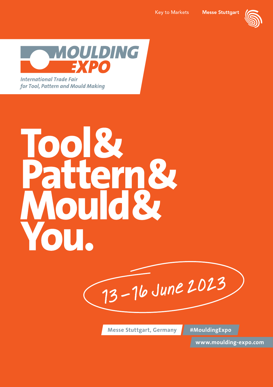



for Tool, Pattern and Mould Making

# Tool& Pattern&

13 – 16 June 2023

**Messe Stuttgart, Germany #MouldingExpo**

**www.moulding-expo.com**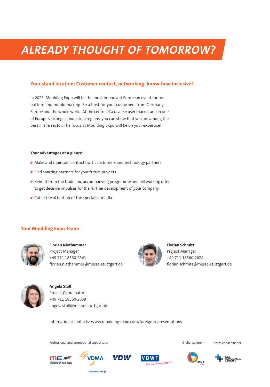# **ALREADY THOUGHT OF TOMORROW?**

### **Your stand location: Customer contact, networking, know-how inclusive!**

In 2023, Moulding Expo will be the most important European event for tool, pattern and mould making. Be a host for your customers from Germany, Europe and the whole world. At the centre of a diverse user market and in one of Europe's strongest industrial regions, you can show that you are among the best in the sector. The focus at Moulding Expo will be on your expertise!

### **Your advantages at a glance:**

- Make and maintain contacts with customers and technology partners.
- Find sparring partners for your future projects.
- Benefit from the trade fair, accompanying programme and networking offers to get decisive impulses for the further development of your company.
- Catch the attention of the specialist media.

### **Your Moulding Expo Team:**



**Florian Niethammer** Project Manager +49 711 18560-2541 florian.niethammer@messe-stuttgart.de



**Florian Schmitz** Project Manager +49 711 18560-2624 florian.schmitz@messe-stuttgart.de



**Angela Stoll** Project Coordinator +49 711 18560-2639 angela.stoll@messe-stuttgart.de

International contacts: www.moulding-expo.com/foreign-representations

Professional and promotional supporters: Global partner:

Professional partner:

.<br>:KZEUGBAU<br>DEMIE





.<br>äzisionswerkzeug



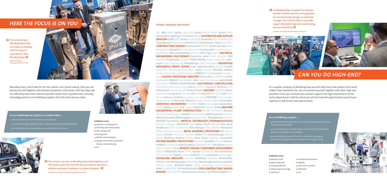# **HERE THE FOCUS IS ON YOU**

>> The networking at **Moulding Expo helps** us to align our company with the future. If any trade fair, then Moulding Expo. Anton Schweiger, Schweiger GmbH & Co. KG



Moulding Expo is the trade fair for tool, pattern and mould making. Here you can present yourself together with the best companies in the sector. Over four days, you can efficiently meet more relevant specialist visitors than anywhere else, including technology partners and exhibiting suppliers from the entire process chain.



### As an exhibiting tool, pattern or mould maker ...

- ... you can position yourself with all your competences.
- .. you will meet highly qualified visitors seeking solutions for concrete projects.
- .. you will obtain new perspectives on current themes in the sector.



### **Exhibition areas:**

- Injection moulding tools
- Punching and forming tools
- Die-casting tools
- Casting tools
- Models and prototypes
- Gauge construction and jig and fixtures manufacturing
- $\blacksquare$  etc.

 $\blacktriangleright$  The contacts we made at Moulding Expo really helped us a lot. The visitors come from the most diverse industries and areas whether purchasers, developers or product designers. Eva Söhnlein, HG Hans Geiger Spritzgießtechnik GmbH

### **Visitors' companies and sectors**

3M ABB ABUS adidas Aesculap Airbus Alfred Härer AL-KO AUDI Automotive Lighting B&R B. Braun Balluff AUTOMOTIVE AND SUPPLIER **INDUSTRY BASE BBP Belden BENTELER Bertrandt BEUTTENMÜLLER beverdynamic Birkenstock Bizerba BMW Bosch Power Tools Braunform CONSTRUCTION/DESIGN Brennenstuhl BRITA Bruker Bio Spin BSH** Hausgeräte Caterpillar Conrad Electronic Continental Croner Präzisionsformenbau d&b audiotechnik Daimler DB Cargo Delphi ELECTRICAL **ENGINEERING/ELECTRONICS Deutsche Bahn Diehl Aviation DLR** Dometic Dräximaier Duravit DÜRR DENTAL Eaton Industries ebmpapst EDAG Engineering ElringKlinger EMO Orodjarna HOUSEHOLD **APPLIANCES/WHITE GOODS Erbe Elektromedizin ESCHA Evonik** Fassnacht Werkzeug-Formenbau Festo Festool FISCHER SPORTS fischer Werkzeug- und Formenbau FOBOHA Ford Fresenius Freudenberg PLASTICS PROCESSING INDUSTRY Friedr. Dick GARDENA GLOCK **GRAMMER GROHE Groz-Beckert GSA Hack Formenbau HAIDLMAIR** Hansgrohe HÄRTER STANZTECHNIK LIGHTWEIGHT CONSTRUCTION Heidelberg Manufacturing HELLA Henkel Heraeus Medical Hilti Hirschmann Hisense Mould Hoefer & Sohn JOB SHOP HOHNER Honda Honeywell Husqvarna Hyundai ifm IKEA Imperial IMS Gear Intel John Deere Johnson Controls Junghans microtec KÄRCHER Karl Leibinger Medizintechnik Kawasaki Robotics Kessler Werkzeugbau Keuerleber **AEROSPACE ENGINEERING KRAMSKI KUKA Lamy Lear Corporation** LEITZ Liebherr Linde LuK Magna MAGURA MAHLE MAN MACHINE **ENGINEERING / PLANT CONSTRUCTION** MANN+HUMMEL Marabu Marbach Werkzeugbau Märklin maxon motor MBFZ toolcraft Meissner Meku Formenbau Werkzeugbau Mercedes-AMG Metabowerke Michelin MIDENA Formenbau MEDICAL TECHNOLOGY/PHARMACEUTICALS Nemak Dillingen OECHSLER Opel Oskar Frech OSRAM Otto Bock HealthCare Otto Hofstetter Otto Klumpp Otto Männer Panasonic Philips Medizin Systeme METAL WORKING/PROCESSING Pilz Plastro Mayer Porsche Procter & Gamble PUMA RAFI Ravensburger Robert Bosch Röchling Medical ROMA Roto Frank Rowenta Samsonite PATTERN-MAKING / PROTOTYPING Sartorius Schaeffler Schuler Schwan-**STABILO** Sennheiser SEW-Eurodrive SIEBENWURST Silit-Werke Sirona Dental Systems Sony PRODUCT DESIGN / COMPONENT DEVELOPMENT SRAM STAEDTLER Mars STIHL Stryker Swarovski TDK Electronics TE Connectivity Toyota Unilever Vaillant Valeo voestalpine Volkswagen PACKAGING INDUSTRY Vorwerk WAREMA Webasto Weinmüller Formen- und Werkzeugbau Weishaupt Werkzeugbau Karl Krumpholz Wild & Küpfer Wilhelm Weber WISA Werkzeug- und Formenbau WMF ZAHORANSKY ZF Friedrichshafen TOOL CONSTRUCTION / MOULD **MAKING** ZIEHL-ABEGG Zimmermann Formen- und Werkzeugbau etc.

>>>>>>>>>At Moulding Expo, everyone's on location, whether machine operator, managing director, manufacturing manager or production manager. The trade fair offers a very wide range in the field of tool and mould making, but also 3D printing.  $\left\langle \boldsymbol{\zeta}\right\rangle$ 

Udo Hipp, Maschinenfabrik Berthold Hermle AG





# **CAN YOU DO HIGH-END?**

As a supplier company, at Moulding Expo you will meet more tool, pattern and mould makers than anywhere else. You can present yourself together with other high-end providers! Here, you measure your products against the high requirements of the sector. Beyond your trade fair stand, you will also have the opportunity to present your expertise in talk forums and special shows.

### As an exhibiting supplier ...

- .. you can position yourself at the centre of the international tool, pattern and mould making sector.
- .. you will meet decision-makers and purchasers seeking the maximum
- precision and quality of your products.
- .. you can distinguish yourself from the competition by bringing best-practice examples of your customers to life at your stand.

### **Exhibition areas:**

- Machine tools
- Machining tools
- Clamping devices
- Measuring technology
- Software
- Standard components
- Moulds
- Hot runner systems
- **Materials** etc.